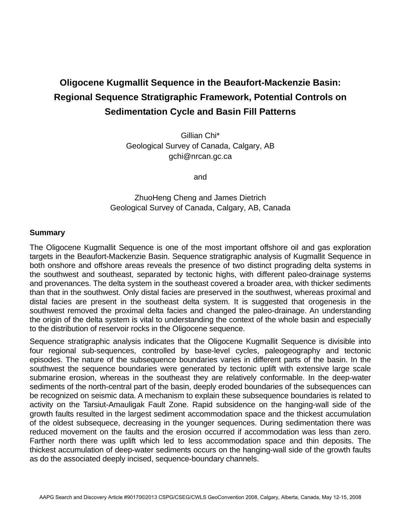# **Oligocene Kugmallit Sequence in the Beaufort-Mackenzie Basin: Regional Sequence Stratigraphic Framework, Potential Controls on Sedimentation Cycle and Basin Fill Patterns**

Gillian Chi\* Geological Survey of Canada, Calgary, AB gchi@nrcan.gc.ca

and

## ZhuoHeng Cheng and James Dietrich Geological Survey of Canada, Calgary, AB, Canada

#### **Summary**

The Oligocene Kugmallit Sequence is one of the most important offshore oil and gas exploration targets in the Beaufort-Mackenzie Basin. Sequence stratigraphic analysis of Kugmallit Sequence in both onshore and offshore areas reveals the presence of two distinct prograding delta systems in the southwest and southeast, separated by tectonic highs, with different paleo-drainage systems and provenances. The delta system in the southeast covered a broader area, with thicker sediments than that in the southwest. Only distal facies are preserved in the southwest, whereas proximal and distal facies are present in the southeast delta system. It is suggested that orogenesis in the southwest removed the proximal delta facies and changed the paleo-drainage. An understanding the origin of the delta system is vital to understanding the context of the whole basin and especially to the distribution of reservoir rocks in the Oligocene sequence.

Sequence stratigraphic analysis indicates that the Oligocene Kugmallit Sequence is divisible into four regional sub-sequences, controlled by base-level cycles, paleogeography and tectonic episodes. The nature of the subsequence boundaries varies in different parts of the basin. In the southwest the sequence boundaries were generated by tectonic uplift with extensive large scale submarine erosion, whereas in the southeast they are relatively conformable. In the deep-water sediments of the north-central part of the basin, deeply eroded boundaries of the subsequences can be recognized on seismic data. A mechanism to explain these subsequence boundaries is related to activity on the Tarsiut-Amauligak Fault Zone. Rapid subsidence on the hanging-wall side of the growth faults resulted in the largest sediment accommodation space and the thickest accumulation of the oldest subsequece, decreasing in the younger sequences. During sedimentation there was reduced movement on the faults and the erosion occurred if accommodation was less than zero. Farther north there was uplift which led to less accommodation space and thin deposits. The thickest accumulation of deep-water sediments occurs on the hanging-wall side of the growth faults as do the associated deeply incised, sequence-boundary channels.